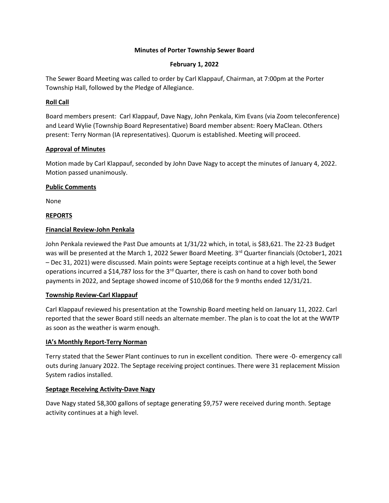## **Minutes of Porter Township Sewer Board**

# **February 1, 2022**

The Sewer Board Meeting was called to order by Carl Klappauf, Chairman, at 7:00pm at the Porter Township Hall, followed by the Pledge of Allegiance.

# **Roll Call**

Board members present: Carl Klappauf, Dave Nagy, John Penkala, Kim Evans (via Zoom teleconference) and Leard Wylie (Township Board Representative) Board member absent: Roery MaClean. Others present: Terry Norman (IA representatives). Quorum is established. Meeting will proceed.

# **Approval of Minutes**

Motion made by Carl Klappauf, seconded by John Dave Nagy to accept the minutes of January 4, 2022. Motion passed unanimously.

# **Public Comments**

None

# **REPORTS**

# **Financial Review-John Penkala**

John Penkala reviewed the Past Due amounts at 1/31/22 which, in total, is \$83,621. The 22-23 Budget was will be presented at the March 1, 2022 Sewer Board Meeting. 3rd Quarter financials (October1, 2021 – Dec 31, 2021) were discussed. Main points were Septage receipts continue at a high level, the Sewer operations incurred a \$14,787 loss for the  $3<sup>rd</sup>$  Quarter, there is cash on hand to cover both bond payments in 2022, and Septage showed income of \$10,068 for the 9 months ended 12/31/21.

## **Township Review-Carl Klappauf**

Carl Klappauf reviewed his presentation at the Township Board meeting held on January 11, 2022. Carl reported that the sewer Board still needs an alternate member. The plan is to coat the lot at the WWTP as soon as the weather is warm enough.

# **IA's Monthly Report-Terry Norman**

Terry stated that the Sewer Plant continues to run in excellent condition. There were -0- emergency call outs during January 2022. The Septage receiving project continues. There were 31 replacement Mission System radios installed.

# **Septage Receiving Activity-Dave Nagy**

Dave Nagy stated 58,300 gallons of septage generating \$9,757 were received during month. Septage activity continues at a high level.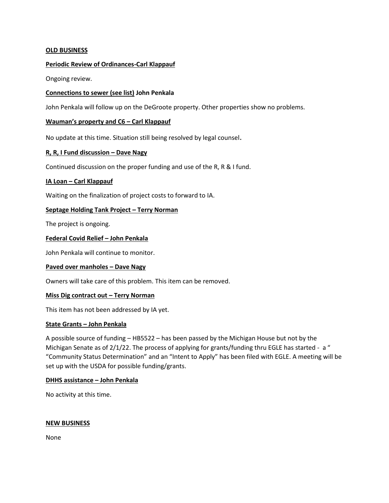## **OLD BUSINESS**

## **Periodic Review of Ordinances-Carl Klappauf**

Ongoing review.

## **Connections to sewer (see list) John Penkala**

John Penkala will follow up on the DeGroote property. Other properties show no problems.

#### **Wauman's property and C6 – Carl Klappauf**

No update at this time. Situation still being resolved by legal counsel.

## **R, R, I Fund discussion – Dave Nagy**

Continued discussion on the proper funding and use of the R, R & I fund.

## **IA Loan – Carl Klappauf**

Waiting on the finalization of project costs to forward to IA.

## **Septage Holding Tank Project – Terry Norman**

The project is ongoing.

## **Federal Covid Relief – John Penkala**

John Penkala will continue to monitor.

#### **Paved over manholes – Dave Nagy**

Owners will take care of this problem. This item can be removed.

#### **Miss Dig contract out – Terry Norman**

This item has not been addressed by IA yet.

#### **State Grants – John Penkala**

A possible source of funding – HB5522 – has been passed by the Michigan House but not by the Michigan Senate as of 2/1/22. The process of applying for grants/funding thru EGLE has started - a " "Community Status Determination" and an "Intent to Apply" has been filed with EGLE. A meeting will be set up with the USDA for possible funding/grants.

#### **DHHS assistance – John Penkala**

No activity at this time.

#### **NEW BUSINESS**

None